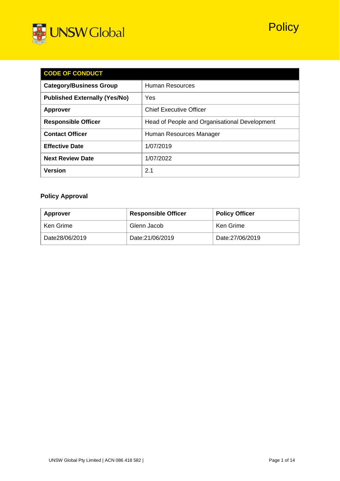

# **Policy**

| <b>CODE OF CONDUCT</b>               |                                               |  |  |
|--------------------------------------|-----------------------------------------------|--|--|
| <b>Category/Business Group</b>       | <b>Human Resources</b>                        |  |  |
| <b>Published Externally (Yes/No)</b> | Yes                                           |  |  |
| <b>Approver</b>                      | <b>Chief Executive Officer</b>                |  |  |
| <b>Responsible Officer</b>           | Head of People and Organisational Development |  |  |
| <b>Contact Officer</b>               | Human Resources Manager                       |  |  |
| <b>Effective Date</b>                | 1/07/2019                                     |  |  |
| <b>Next Review Date</b>              | 1/07/2022                                     |  |  |
| <b>Version</b>                       | 2.1                                           |  |  |

# **Policy Approval**

| Approver       | <b>Responsible Officer</b> | <b>Policy Officer</b> |
|----------------|----------------------------|-----------------------|
| ∣ Ken Grime⊹   | Glenn Jacob                | Ken Grime             |
| Date28/06/2019 | Date:21/06/2019            | Date:27/06/2019       |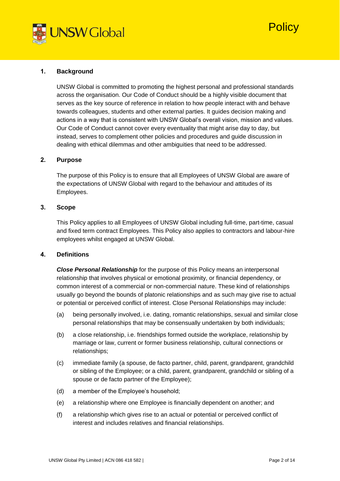

# Policy

# **1. Background**

UNSW Global is committed to promoting the highest personal and professional standards across the organisation. Our Code of Conduct should be a highly visible document that serves as the key source of reference in relation to how people interact with and behave towards colleagues, students and other external parties. It guides decision making and actions in a way that is consistent with UNSW Global's overall vision, mission and values. Our Code of Conduct cannot cover every eventuality that might arise day to day, but instead, serves to complement other policies and procedures and guide discussion in dealing with ethical dilemmas and other ambiguities that need to be addressed.

## **2. Purpose**

The purpose of this Policy is to ensure that all Employees of UNSW Global are aware of the expectations of UNSW Global with regard to the behaviour and attitudes of its Employees.

## **3. Scope**

This Policy applies to all Employees of UNSW Global including full-time, part-time, casual and fixed term contract Employees. This Policy also applies to contractors and labour-hire employees whilst engaged at UNSW Global.

# **4. Definitions**

*Close Personal Relationship* for the purpose of this Policy means an interpersonal relationship that involves physical or emotional proximity, or financial dependency, or common interest of a commercial or non-commercial nature. These kind of relationships usually go beyond the bounds of platonic relationships and as such may give rise to actual or potential or perceived conflict of interest. Close Personal Relationships may include:

- (a) being personally involved, i.e. dating, romantic relationships, sexual and similar close personal relationships that may be consensually undertaken by both individuals;
- (b) a close relationship, i.e. friendships formed outside the workplace, relationship by marriage or law, current or former business relationship, cultural connections or relationships;
- (c) immediate family (a spouse, de facto partner, child, parent, grandparent, grandchild or sibling of the Employee; or a child, parent, grandparent, grandchild or sibling of a spouse or de facto partner of the Employee);
- (d) a member of the Employee's household;
- (e) a relationship where one Employee is financially dependent on another; and
- (f) a relationship which gives rise to an actual or potential or perceived conflict of interest and includes relatives and financial relationships.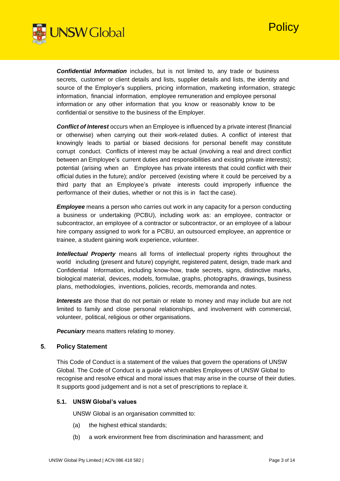

*Confidential Information* includes, but is not limited to, any trade or business secrets, customer or client details and lists, supplier details and lists, the identity and source of the Employer's suppliers, pricing information, marketing information, strategic information, financial information, employee remuneration and employee personal information or any other information that you know or reasonably know to be confidential or sensitive to the business of the Employer.

*Conflict of Interest* occurs when an Employee is influenced by a private interest (financial or otherwise) when carrying out their work-related duties. A conflict of interest that knowingly leads to partial or biased decisions for personal benefit may constitute corrupt conduct. Conflicts of interest may be actual (involving a real and direct conflict between an Employee's current duties and responsibilities and existing private interests); potential (arising when an Employee has private interests that could conflict with their official duties in the future); and/or perceived (existing where it could be perceived by a third party that an Employee's private interests could improperly influence the performance of their duties, whether or not this is in fact the case).

*Employee* means a person who carries out work in any capacity for a person conducting a business or undertaking (PCBU), including work as: an employee, contractor or subcontractor, an employee of a contractor or subcontractor, or an employee of a labour hire company assigned to work for a PCBU, an outsourced employee, an apprentice or trainee, a student gaining work experience, volunteer.

*Intellectual Property* means all forms of intellectual property rights throughout the world including (present and future) copyright, registered patent, design, trade mark and Confidential Information, including know-how, trade secrets, signs, distinctive marks, biological material, devices, models, formulae, graphs, photographs, drawings, business plans, methodologies, inventions, policies, records, memoranda and notes.

*Interests* are those that do not pertain or relate to money and may include but are not limited to family and close personal relationships, and involvement with commercial, volunteer, political, religious or other organisations.

*Pecuniary* means matters relating to money.

## **5. Policy Statement**

This Code of Conduct is a statement of the values that govern the operations of UNSW Global. The Code of Conduct is a guide which enables Employees of UNSW Global to recognise and resolve ethical and moral issues that may arise in the course of their duties. It supports good judgement and is not a set of prescriptions to replace it.

# **5.1. UNSW Global's values**

UNSW Global is an organisation committed to:

- (a) the highest ethical standards;
- (b) a work environment free from discrimination and harassment; and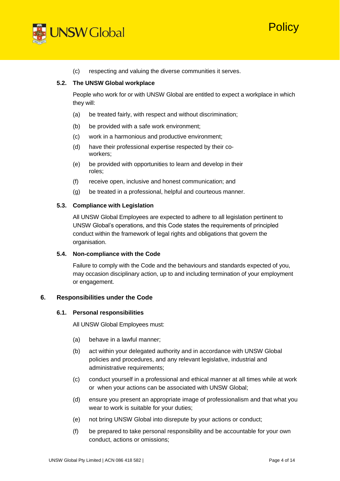



(c) respecting and valuing the diverse communities it serves.

#### **5.2. The UNSW Global workplace**

People who work for or with UNSW Global are entitled to expect a workplace in which they will:

- (a) be treated fairly, with respect and without discrimination;
- (b) be provided with a safe work environment;
- (c) work in a harmonious and productive environment;
- (d) have their professional expertise respected by their coworkers;
- (e) be provided with opportunities to learn and develop in their roles;
- (f) receive open, inclusive and honest communication; and
- (g) be treated in a professional, helpful and courteous manner.

#### **5.3. Compliance with Legislation**

All UNSW Global Employees are expected to adhere to all legislation pertinent to UNSW Global's operations, and this Code states the requirements of principled conduct within the framework of legal rights and obligations that govern the organisation.

#### **5.4. Non-compliance with the Code**

Failure to comply with the Code and the behaviours and standards expected of you, may occasion disciplinary action, up to and including termination of your employment or engagement.

#### **6. Responsibilities under the Code**

#### **6.1. Personal responsibilities**

All UNSW Global Employees must:

- (a) behave in a lawful manner;
- (b) act within your delegated authority and in accordance with UNSW Global policies and procedures, and any relevant legislative, industrial and administrative requirements;
- (c) conduct yourself in a professional and ethical manner at all times while at work or when your actions can be associated with UNSW Global;
- (d) ensure you present an appropriate image of professionalism and that what you wear to work is suitable for your duties;
- (e) not bring UNSW Global into disrepute by your actions or conduct;
- (f) be prepared to take personal responsibility and be accountable for your own conduct, actions or omissions;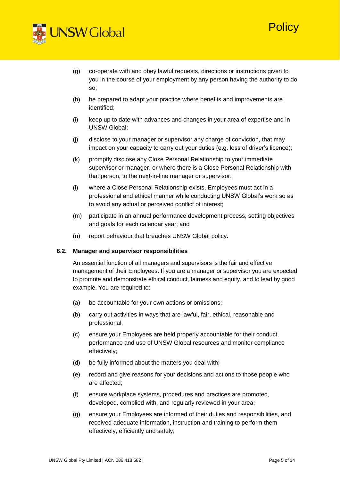

- (g) co-operate with and obey lawful requests, directions or instructions given to you in the course of your employment by any person having the authority to do so;
- (h) be prepared to adapt your practice where benefits and improvements are identified;
- (i) keep up to date with advances and changes in your area of expertise and in UNSW Global;
- (j) disclose to your manager or supervisor any charge of conviction, that may impact on your capacity to carry out your duties (e.g. loss of driver's licence);
- (k) promptly disclose any Close Personal Relationship to your immediate supervisor or manager, or where there is a Close Personal Relationship with that person, to the next-in-line manager or supervisor;
- (l) where a Close Personal Relationship exists, Employees must act in a professional and ethical manner while conducting UNSW Global's work so as to avoid any actual or perceived conflict of interest;
- (m) participate in an annual performance development process, setting objectives and goals for each calendar year; and
- (n) report behaviour that breaches UNSW Global policy.

## **6.2. Manager and supervisor responsibilities**

An essential function of all managers and supervisors is the fair and effective management of their Employees. If you are a manager or supervisor you are expected to promote and demonstrate ethical conduct, fairness and equity, and to lead by good example. You are required to:

- (a) be accountable for your own actions or omissions;
- (b) carry out activities in ways that are lawful, fair, ethical, reasonable and professional;
- (c) ensure your Employees are held properly accountable for their conduct, performance and use of UNSW Global resources and monitor compliance effectively;
- (d) be fully informed about the matters you deal with;
- (e) record and give reasons for your decisions and actions to those people who are affected;
- (f) ensure workplace systems, procedures and practices are promoted, developed, complied with, and regularly reviewed in your area;
- (g) ensure your Employees are informed of their duties and responsibilities, and received adequate information, instruction and training to perform them effectively, efficiently and safely;

<sup>b</sup>olicy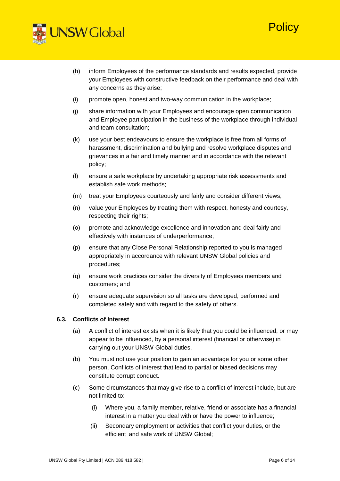

- (h) inform Employees of the performance standards and results expected, provide your Employees with constructive feedback on their performance and deal with any concerns as they arise;
- (i) promote open, honest and two-way communication in the workplace;
- (j) share information with your Employees and encourage open communication and Employee participation in the business of the workplace through individual and team consultation;
- (k) use your best endeavours to ensure the workplace is free from all forms of harassment, discrimination and bullying and resolve workplace disputes and grievances in a fair and timely manner and in accordance with the relevant policy;
- (l) ensure a safe workplace by undertaking appropriate risk assessments and establish safe work methods;
- (m) treat your Employees courteously and fairly and consider different views;
- (n) value your Employees by treating them with respect, honesty and courtesy, respecting their rights;
- (o) promote and acknowledge excellence and innovation and deal fairly and effectively with instances of underperformance;
- (p) ensure that any Close Personal Relationship reported to you is managed appropriately in accordance with relevant UNSW Global policies and procedures;
- (q) ensure work practices consider the diversity of Employees members and customers; and
- (r) ensure adequate supervision so all tasks are developed, performed and completed safely and with regard to the safety of others.

## **6.3. Conflicts of Interest**

- (a) A conflict of interest exists when it is likely that you could be influenced, or may appear to be influenced, by a personal interest (financial or otherwise) in carrying out your UNSW Global duties.
- (b) You must not use your position to gain an advantage for you or some other person. Conflicts of interest that lead to partial or biased decisions may constitute corrupt conduct.
- (c) Some circumstances that may give rise to a conflict of interest include, but are not limited to:
	- (i) Where you, a family member, relative, friend or associate has a financial interest in a matter you deal with or have the power to influence;
	- (ii) Secondary employment or activities that conflict your duties, or the efficient and safe work of UNSW Global;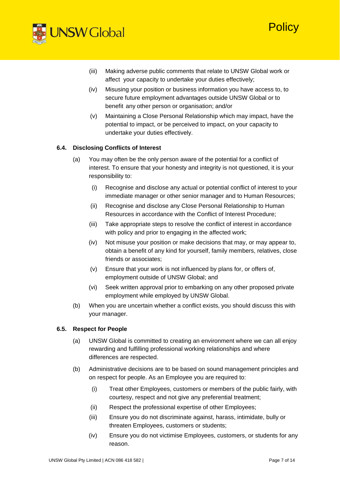

- (iii) Making adverse public comments that relate to UNSW Global work or affect your capacity to undertake your duties effectively;
- (iv) Misusing your position or business information you have access to, to secure future employment advantages outside UNSW Global or to benefit any other person or organisation; and/or
- (v) Maintaining a Close Personal Relationship which may impact, have the potential to impact, or be perceived to impact, on your capacity to undertake your duties effectively.

## **6.4. Disclosing Conflicts of Interest**

- (a) You may often be the only person aware of the potential for a conflict of interest. To ensure that your honesty and integrity is not questioned, it is your responsibility to:
	- (i) Recognise and disclose any actual or potential conflict of interest to your immediate manager or other senior manager and to Human Resources;
	- (ii) Recognise and disclose any Close Personal Relationship to Human Resources in accordance with the Conflict of Interest Procedure;
	- (iii) Take appropriate steps to resolve the conflict of interest in accordance with policy and prior to engaging in the affected work;
	- (iv) Not misuse your position or make decisions that may, or may appear to, obtain a benefit of any kind for yourself, family members, relatives, close friends or associates;
	- (v) Ensure that your work is not influenced by plans for, or offers of, employment outside of UNSW Global; and
	- (vi) Seek written approval prior to embarking on any other proposed private employment while employed by UNSW Global.
- (b) When you are uncertain whether a conflict exists, you should discuss this with your manager.

## **6.5. Respect for People**

- (a) UNSW Global is committed to creating an environment where we can all enjoy rewarding and fulfilling professional working relationships and where differences are respected.
- (b) Administrative decisions are to be based on sound management principles and on respect for people. As an Employee you are required to:
	- (i) Treat other Employees, customers or members of the public fairly, with courtesy, respect and not give any preferential treatment;
	- (ii) Respect the professional expertise of other Employees;
	- (iii) Ensure you do not discriminate against, harass, intimidate, bully or threaten Employees, customers or students;
	- (iv) Ensure you do not victimise Employees, customers, or students for any reason.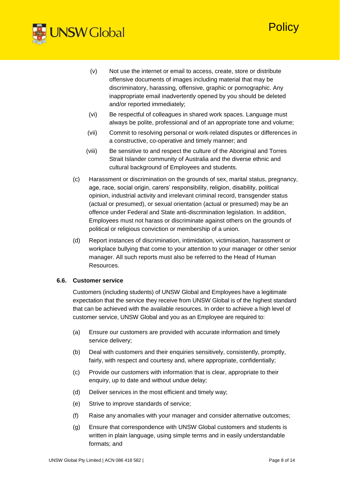

- (v) Not use the internet or email to access, create, store or distribute offensive documents of images including material that may be discriminatory, harassing, offensive, graphic or pornographic. Any inappropriate email inadvertently opened by you should be deleted and/or reported immediately;
- (vi) Be respectful of colleagues in shared work spaces. Language must always be polite, professional and of an appropriate tone and volume;
- (vii) Commit to resolving personal or work-related disputes or differences in a constructive, co-operative and timely manner; and
- (viii) Be sensitive to and respect the culture of the Aboriginal and Torres Strait Islander community of Australia and the diverse ethnic and cultural background of Employees and students.
- (c) Harassment or discrimination on the grounds of sex, marital status, pregnancy, age, race, social origin, carers' responsibility, religion, disability, political opinion, industrial activity and irrelevant criminal record, transgender status (actual or presumed), or sexual orientation (actual or presumed) may be an offence under Federal and State anti-discrimination legislation. In addition, Employees must not harass or discriminate against others on the grounds of political or religious conviction or membership of a union.
- (d) Report instances of discrimination, intimidation, victimisation, harassment or workplace bullying that come to your attention to your manager or other senior manager. All such reports must also be referred to the Head of Human Resources.

## **6.6. Customer service**

Customers (including students) of UNSW Global and Employees have a legitimate expectation that the service they receive from UNSW Global is of the highest standard that can be achieved with the available resources. In order to achieve a high level of customer service, UNSW Global and you as an Employee are required to:

- (a) Ensure our customers are provided with accurate information and timely service delivery;
- (b) Deal with customers and their enquiries sensitively, consistently, promptly, fairly, with respect and courtesy and, where appropriate, confidentially;
- (c) Provide our customers with information that is clear, appropriate to their enquiry, up to date and without undue delay;
- (d) Deliver services in the most efficient and timely way;
- (e) Strive to improve standards of service;
- (f) Raise any anomalies with your manager and consider alternative outcomes;
- (g) Ensure that correspondence with UNSW Global customers and students is written in plain language, using simple terms and in easily understandable formats; and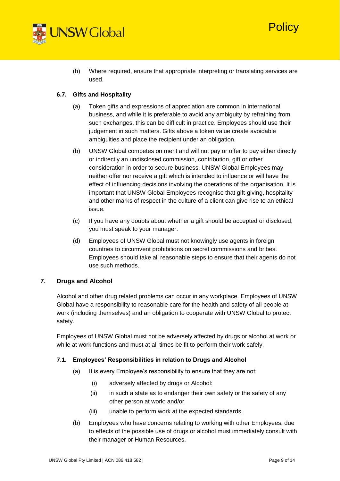

(h) Where required, ensure that appropriate interpreting or translating services are used.

## **6.7. Gifts and Hospitality**

- (a) Token gifts and expressions of appreciation are common in international business, and while it is preferable to avoid any ambiguity by refraining from such exchanges, this can be difficult in practice. Employees should use their judgement in such matters. Gifts above a token value create avoidable ambiguities and place the recipient under an obligation.
- (b) UNSW Global competes on merit and will not pay or offer to pay either directly or indirectly an undisclosed commission, contribution, gift or other consideration in order to secure business. UNSW Global Employees may neither offer nor receive a gift which is intended to influence or will have the effect of influencing decisions involving the operations of the organisation. It is important that UNSW Global Employees recognise that gift-giving, hospitality and other marks of respect in the culture of a client can give rise to an ethical issue.
- (c) If you have any doubts about whether a gift should be accepted or disclosed, you must speak to your manager.
- (d) Employees of UNSW Global must not knowingly use agents in foreign countries to circumvent prohibitions on secret commissions and bribes. Employees should take all reasonable steps to ensure that their agents do not use such methods.

## **7. Drugs and Alcohol**

Alcohol and other drug related problems can occur in any workplace. Employees of UNSW Global have a responsibility to reasonable care for the health and safety of all people at work (including themselves) and an obligation to cooperate with UNSW Global to protect safety.

Employees of UNSW Global must not be adversely affected by drugs or alcohol at work or while at work functions and must at all times be fit to perform their work safely.

## **7.1. Employees' Responsibilities in relation to Drugs and Alcohol**

- (a) It is every Employee's responsibility to ensure that they are not:
	- (i) adversely affected by drugs or Alcohol:
	- (ii) in such a state as to endanger their own safety or the safety of any other person at work; and/or
	- (iii) unable to perform work at the expected standards.
- (b) Employees who have concerns relating to working with other Employees, due to effects of the possible use of drugs or alcohol must immediately consult with their manager or Human Resources.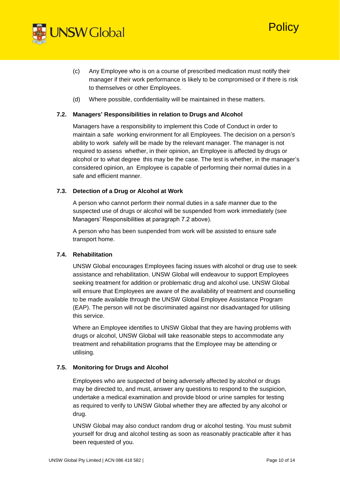

- (c) Any Employee who is on a course of prescribed medication must notify their manager if their work performance is likely to be compromised or if there is risk to themselves or other Employees.
- (d) Where possible, confidentiality will be maintained in these matters.

## **7.2. Managers' Responsibilities in relation to Drugs and Alcohol**

Managers have a responsibility to implement this Code of Conduct in order to maintain a safe working environment for all Employees. The decision on a person's ability to work safely will be made by the relevant manager. The manager is not required to assess whether, in their opinion, an Employee is affected by drugs or alcohol or to what degree this may be the case. The test is whether, in the manager's considered opinion, an Employee is capable of performing their normal duties in a safe and efficient manner.

## **7.3. Detection of a Drug or Alcohol at Work**

A person who cannot perform their normal duties in a safe manner due to the suspected use of drugs or alcohol will be suspended from work immediately (see Managers' Responsibilities at paragraph 7.2 above).

A person who has been suspended from work will be assisted to ensure safe transport home.

## **7.4. Rehabilitation**

UNSW Global encourages Employees facing issues with alcohol or drug use to seek assistance and rehabilitation. UNSW Global will endeavour to support Employees seeking treatment for addition or problematic drug and alcohol use. UNSW Global will ensure that Employees are aware of the availability of treatment and counselling to be made available through the UNSW Global Employee Assistance Program (EAP). The person will not be discriminated against nor disadvantaged for utilising this service.

Where an Employee identifies to UNSW Global that they are having problems with drugs or alcohol, UNSW Global will take reasonable steps to accommodate any treatment and rehabilitation programs that the Employee may be attending or utilising.

## **7.5. Monitoring for Drugs and Alcohol**

Employees who are suspected of being adversely affected by alcohol or drugs may be directed to, and must, answer any questions to respond to the suspicion, undertake a medical examination and provide blood or urine samples for testing as required to verify to UNSW Global whether they are affected by any alcohol or drug.

UNSW Global may also conduct random drug or alcohol testing. You must submit yourself for drug and alcohol testing as soon as reasonably practicable after it has been requested of you.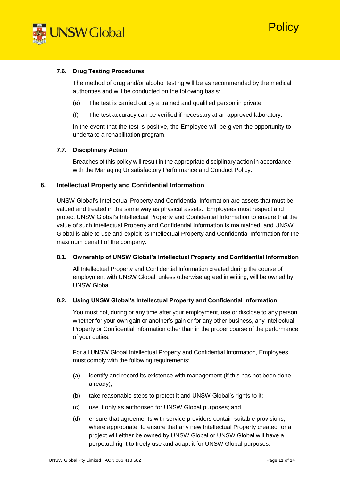

# Policy

## **7.6. Drug Testing Procedures**

The method of drug and/or alcohol testing will be as recommended by the medical authorities and will be conducted on the following basis:

- (e) The test is carried out by a trained and qualified person in private.
- (f) The test accuracy can be verified if necessary at an approved laboratory.

In the event that the test is positive, the Employee will be given the opportunity to undertake a rehabilitation program.

#### **7.7. Disciplinary Action**

Breaches of this policy will result in the appropriate disciplinary action in accordance with the Managing Unsatisfactory Performance and Conduct Policy.

## **8. Intellectual Property and Confidential Information**

UNSW Global's Intellectual Property and Confidential Information are assets that must be valued and treated in the same way as physical assets. Employees must respect and protect UNSW Global's Intellectual Property and Confidential Information to ensure that the value of such Intellectual Property and Confidential Information is maintained, and UNSW Global is able to use and exploit its Intellectual Property and Confidential Information for the maximum benefit of the company.

## **8.1. Ownership of UNSW Global's Intellectual Property and Confidential Information**

All Intellectual Property and Confidential Information created during the course of employment with UNSW Global, unless otherwise agreed in writing, will be owned by UNSW Global.

#### **8.2. Using UNSW Global's Intellectual Property and Confidential Information**

You must not, during or any time after your employment, use or disclose to any person, whether for your own gain or another's gain or for any other business, any Intellectual Property or Confidential Information other than in the proper course of the performance of your duties.

For all UNSW Global Intellectual Property and Confidential Information, Employees must comply with the following requirements:

- (a) identify and record its existence with management (if this has not been done already);
- (b) take reasonable steps to protect it and UNSW Global's rights to it;
- (c) use it only as authorised for UNSW Global purposes; and
- (d) ensure that agreements with service providers contain suitable provisions, where appropriate, to ensure that any new Intellectual Property created for a project will either be owned by UNSW Global or UNSW Global will have a perpetual right to freely use and adapt it for UNSW Global purposes.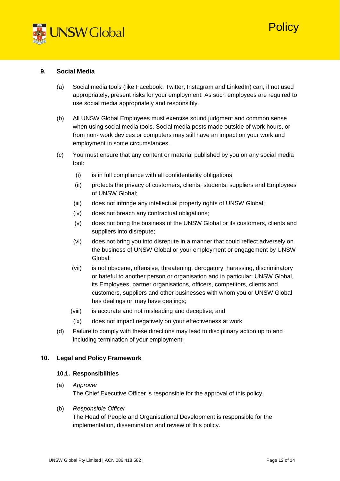

## **9. Social Media**

- (a) Social media tools (like Facebook, Twitter, Instagram and LinkedIn) can, if not used appropriately, present risks for your employment. As such employees are required to use social media appropriately and responsibly.
- (b) All UNSW Global Employees must exercise sound judgment and common sense when using social media tools. Social media posts made outside of work hours, or from non- work devices or computers may still have an impact on your work and employment in some circumstances.
- (c) You must ensure that any content or material published by you on any social media tool:
	- (i) is in full compliance with all confidentiality obligations:
	- (ii) protects the privacy of customers, clients, students, suppliers and Employees of UNSW Global;
	- (iii) does not infringe any intellectual property rights of UNSW Global;
	- (iv) does not breach any contractual obligations;
	- (v) does not bring the business of the UNSW Global or its customers, clients and suppliers into disrepute;
	- (vi) does not bring you into disrepute in a manner that could reflect adversely on the business of UNSW Global or your employment or engagement by UNSW Global;
	- (vii) is not obscene, offensive, threatening, derogatory, harassing, discriminatory or hateful to another person or organisation and in particular: UNSW Global, its Employees, partner organisations, officers, competitors, clients and customers, suppliers and other businesses with whom you or UNSW Global has dealings or may have dealings;
	- (viii) is accurate and not misleading and deceptive; and
	- (ix) does not impact negatively on your effectiveness at work.
- (d) Failure to comply with these directions may lead to disciplinary action up to and including termination of your employment.

## **10. Legal and Policy Framework**

## **10.1. Responsibilities**

- (a) *Approver* The Chief Executive Officer is responsible for the approval of this policy.
- (b) *Responsible Officer*

The Head of People and Organisational Development is responsible for the implementation, dissemination and review of this policy.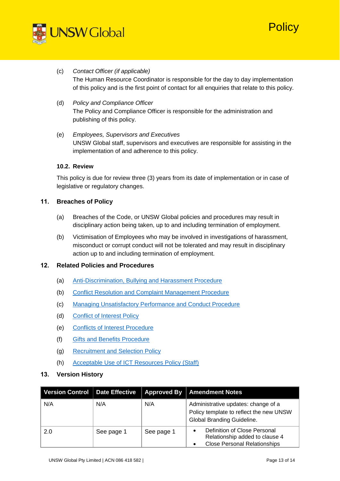

- (c) *Contact Officer (if applicable)* The Human Resource Coordinator is responsible for the day to day implementation of this policy and is the first point of contact for all enquiries that relate to this policy.
- (d) *Policy and Compliance Officer* The Policy and Compliance Officer is responsible for the administration and publishing of this policy.
- (e) *Employees, Supervisors and Executives* UNSW Global staff, supervisors and executives are responsible for assisting in the implementation of and adherence to this policy.

# **10.2. Review**

This policy is due for review three (3) years from its date of implementation or in case of legislative or regulatory changes.

## **11. Breaches of Policy**

- (a) Breaches of the Code, or UNSW Global policies and procedures may result in disciplinary action being taken, up to and including termination of employment.
- (b) Victimisation of Employees who may be involved in investigations of harassment, misconduct or corrupt conduct will not be tolerated and may result in disciplinary action up to and including termination of employment.

# **12. Related Policies and Procedures**

- (a) [Anti-Discrimination, Bullying and Harassment Procedure](https://intranet.unswglobal.unsw.edu.au/Policy/Procedure/Anti-discrimination,%20Bullying%20and%20Harassment%20Procedure.pdf)
- (b) [Conflict Resolution and Complaint Management Procedure](https://intranet.unswglobal.unsw.edu.au/Policy/Procedure/Conflict%20Resolution%20and%20Complaint%20Management%20Procedure.pdf)
- (c) [Managing Unsatisfactory Performance and Conduct Procedure](https://intranet.unswglobal.unsw.edu.au/Policy/Procedure/Managing%20Unsatisfactory%20Performance%20and%20Conduct%20Procedure.pdf)
- (d) [Conflict of Interest Policy](https://intranet.unswglobal.unsw.edu.au/Policy/Policy/Conflict%20of%20Interest%20Policy.pdf)
- (e) [Conflicts of Interest Procedure](https://intranet.unswglobal.unsw.edu.au/Policy/Procedure/Conflict%20of%20Interest%20Procedure.pdf)
- (f) [Gifts and Benefits Procedure](https://intranet.unswglobal.unsw.edu.au/Policy/Procedure/Gifts%20and%20Benefits%20Procedure.pdf)
- (g) [Recruitment and Selection Policy](https://intranet.unswglobal.unsw.edu.au/Policy/Policy/Recruitment%20and%20Selection%20Policy.pdf)
- (h) [Acceptable Use of ICT Resources Policy](https://intranet.unswglobal.unsw.edu.au/Policy/Policy/Acceptable%20Use%20of%20ICT%20Resources%20Policy%20(Staff).pdf) (Staff)

## **13. Version History**

| Version Control   Date Effective |            |            | Approved By   Amendment Notes                                                                                |
|----------------------------------|------------|------------|--------------------------------------------------------------------------------------------------------------|
| N/A                              | N/A        | N/A        | Administrative updates: change of a<br>Policy template to reflect the new UNSW<br>Global Branding Guideline. |
| 2.0                              | See page 1 | See page 1 | Definition of Close Personal<br>Relationship added to clause 4<br><b>Close Personal Relationships</b>        |